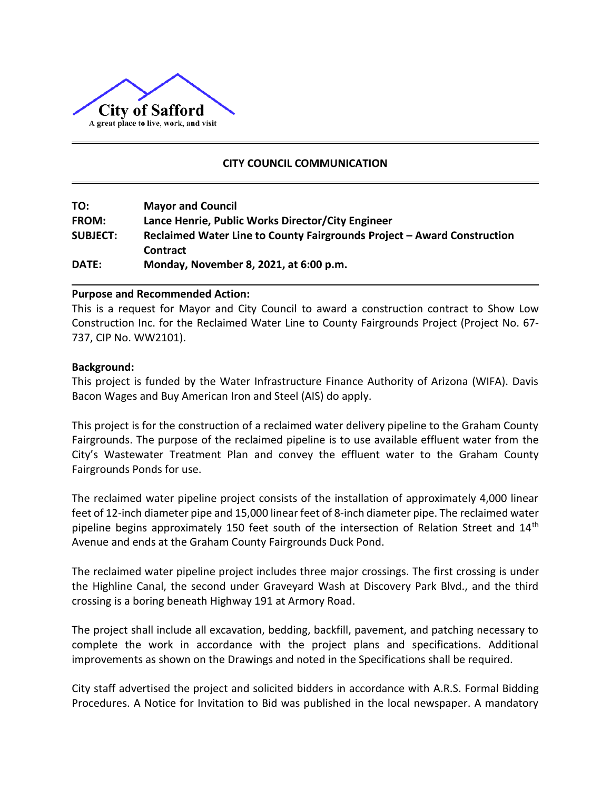

# **CITY COUNCIL COMMUNICATION**

| TO:             | <b>Mayor and Council</b>                                                                   |
|-----------------|--------------------------------------------------------------------------------------------|
| <b>FROM:</b>    | Lance Henrie, Public Works Director/City Engineer                                          |
| <b>SUBJECT:</b> | Reclaimed Water Line to County Fairgrounds Project - Award Construction<br><b>Contract</b> |
| DATE:           | Monday, November 8, 2021, at 6:00 p.m.                                                     |

#### **Purpose and Recommended Action:**

This is a request for Mayor and City Council to award a construction contract to Show Low Construction Inc. for the Reclaimed Water Line to County Fairgrounds Project (Project No. 67- 737, CIP No. WW2101).

#### **Background:**

This project is funded by the Water Infrastructure Finance Authority of Arizona (WIFA). Davis Bacon Wages and Buy American Iron and Steel (AIS) do apply.

This project is for the construction of a reclaimed water delivery pipeline to the Graham County Fairgrounds. The purpose of the reclaimed pipeline is to use available effluent water from the City's Wastewater Treatment Plan and convey the effluent water to the Graham County Fairgrounds Ponds for use.

The reclaimed water pipeline project consists of the installation of approximately 4,000 linear feet of 12‐inch diameter pipe and 15,000 linear feet of 8‐inch diameter pipe. The reclaimed water pipeline begins approximately 150 feet south of the intersection of Relation Street and  $14<sup>th</sup>$ Avenue and ends at the Graham County Fairgrounds Duck Pond.

The reclaimed water pipeline project includes three major crossings. The first crossing is under the Highline Canal, the second under Graveyard Wash at Discovery Park Blvd., and the third crossing is a boring beneath Highway 191 at Armory Road.

The project shall include all excavation, bedding, backfill, pavement, and patching necessary to complete the work in accordance with the project plans and specifications. Additional improvements as shown on the Drawings and noted in the Specifications shall be required.

City staff advertised the project and solicited bidders in accordance with A.R.S. Formal Bidding Procedures. A Notice for Invitation to Bid was published in the local newspaper. A mandatory